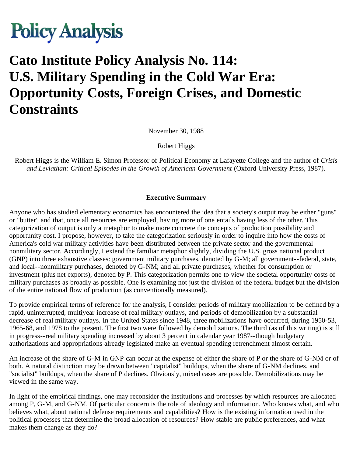

# **Cato Institute Policy Analysis No. 114: U.S. Military Spending in the Cold War Era: Opportunity Costs, Foreign Crises, and Domestic Constraints**

November 30, 1988

Robert Higgs

Robert Higgs is the William E. Simon Professor of Political Economy at Lafayette College and the author of *Crisis and Leviathan: Critical Episodes in the Growth of American Government* (Oxford University Press, 1987).

#### **Executive Summary**

Anyone who has studied elementary economics has encountered the idea that a society's output may be either "guns" or "butter" and that, once all resources are employed, having more of one entails having less of the other. This categorization of output is only a metaphor to make more concrete the concepts of production possibility and opportunity cost. I propose, however, to take the categorization seriously in order to inquire into how the costs of America's cold war military activities have been distributed between the private sector and the governmental nonmilitary sector. Accordingly, I extend the familiar metaphor slightly, dividing the U.S. gross national product (GNP) into three exhaustive classes: government military purchases, denoted by G-M; all government--federal, state, and local--nonmilitary purchases, denoted by G-NM; and all private purchases, whether for consumption or investment (plus net exports), denoted by P. This categorization permits one to view the societal opportunity costs of military purchases as broadly as possible. One is examining not just the division of the federal budget but the division of the entire national flow of production (as conventionally measured).

To provide empirical terms of reference for the analysis, I consider periods of military mobilization to be defined by a rapid, uninterrupted, multiyear increase of real military outlays, and periods of demobilization by a substantial decrease of real military outlays. In the United States since 1948, three mobilizations have occurred, during 1950-53, 1965-68, and 1978 to the present. The first two were followed by demobilizations. The third (as of this writing) is still in progress--real military spending increased by about 3 percent in calendar year 1987--though budgetary authorizations and appropriations already legislated make an eventual spending retrenchment almost certain.

An increase of the share of G-M in GNP can occur at the expense of either the share of P or the share of G-NM or of both. A natural distinction may be drawn between "capitalist" buildups, when the share of G-NM declines, and "socialist" buildups, when the share of P declines. Obviously, mixed cases are possible. Demobilizations may be viewed in the same way.

In light of the empirical findings, one may reconsider the institutions and processes by which resources are allocated among P, G-M, and G-NM. Of particular concern is the role of ideology and information. Who knows what, and who believes what, about national defense requirements and capabilities? How is the existing information used in the political processes that determine the broad allocation of resources? How stable are public preferences, and what makes them change as they do?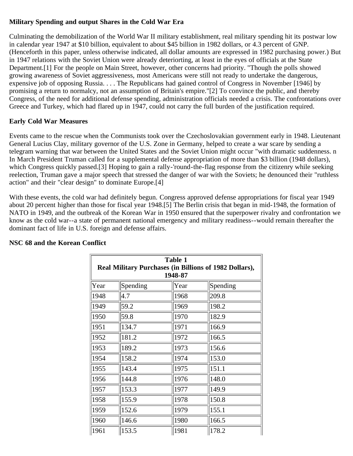## **Military Spending and output Shares in the Cold War Era**

Culminating the demobilization of the World War II military establishment, real military spending hit its postwar low in calendar year 1947 at \$10 billion, equivalent to about \$45 billion in 1982 dollars, or 4.3 percent of GNP. (Henceforth in this paper, unless otherwise indicated, all dollar amounts are expressed in 1982 purchasing power.) But in 1947 relations with the Soviet Union were already deteriorting, at least in the eyes of officials at the State Department.[1] For the people on Main Street, however, other concerns had priority. "Though the polls showed growing awareness of Soviet aggressiveness, most Americans were still not ready to undertake the dangerous, expensive job of opposing Russia. . . . The Republicans had gained control of Congress in November [1946] by promising a return to normalcy, not an assumption of Britain's empire."[2] To convince the public, and thereby Congress, of the need for additional defense spending, administration officials needed a crisis. The confrontations over Greece and Turkey, which had flared up in 1947, could not carry the full burden of the justification required.

## **Early Cold War Measures**

Events came to the rescue when the Communists took over the Czechoslovakian government early in 1948. Lieutenant General Lucius Clay, military governor of the U.S. Zone in Germany, helped to create a war scare by sending a telegram warning that war between the United States and the Soviet Union might occur "with dramatic suddenness. n In March President Truman called for a supplemental defense appropriation of more than \$3 billion (1948 dollars), which Congress quickly passed.[3] Hoping to gain a rally-'round-the-flag response from the citizenry while seeking reelection, Truman gave a major speech that stressed the danger of war with the Soviets; he denounced their "ruthless action" and their "clear design" to dominate Europe.[4]

With these events, the cold war had definitely begun. Congress approved defense appropriations for fiscal year 1949 about 20 percent higher than those for fiscal year 1948.[5] The Berlin crisis that began in mid-1948, the formation of NATO in 1949, and the outbreak of the Korean War in 1950 ensured that the superpower rivalry and confrontation we know as the cold war--a state of permanent national emergency and military readiness--would remain thereafter the dominant fact of life in U.S. foreign and defense affairs.

| Table 1<br>Real Military Purchases (in Billions of 1982 Dollars),<br>1948-87 |          |      |          |  |  |
|------------------------------------------------------------------------------|----------|------|----------|--|--|
| Year                                                                         | Spending | Year | Spending |  |  |
| 1948                                                                         | 4.7      | 1968 | 209.8    |  |  |
| 1949                                                                         | 59.2     | 1969 | 198.2    |  |  |
| 1950                                                                         | 59.8     | 1970 | 182.9    |  |  |
| 1951                                                                         | 134.7    | 1971 | 166.9    |  |  |
| 1952                                                                         | 181.2    | 1972 | 166.5    |  |  |
| 1953                                                                         | 189.2    | 1973 | 156.6    |  |  |
| 1954                                                                         | 158.2    | 1974 | 153.0    |  |  |
| 1955                                                                         | 143.4    | 1975 | 151.1    |  |  |
| 1956                                                                         | 144.8    | 1976 | 148.0    |  |  |
| 1957                                                                         | 153.3    | 1977 | 149.9    |  |  |
| 1958                                                                         | 155.9    | 1978 | 150.8    |  |  |
| 1959                                                                         | 152.6    | 1979 | 155.1    |  |  |
| 1960                                                                         | 146.6    | 1980 | 166.5    |  |  |
| 1961                                                                         | 153.5    | 1981 | 178.2    |  |  |

#### **NSC 68 and the Korean Conflict**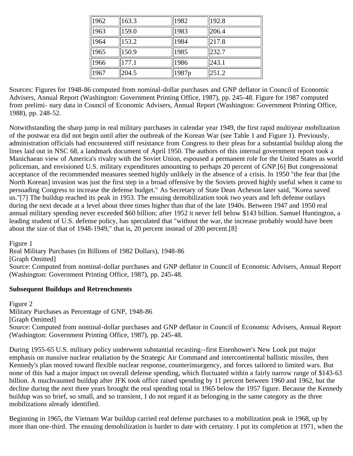| 1962 | 163.3 | 1982              | 192.8 |
|------|-------|-------------------|-------|
| 1963 | 159.0 | 1983              | 206.4 |
| 1964 | 153.2 | 1984              | 217.8 |
| 1965 | 150.9 | 1985              | 232.7 |
| 1966 | 177.1 | 1986              | 243.1 |
| 1967 | 204.5 | 1987 <sub>p</sub> | 251.2 |

Sources: Figures for 1948-86 computed from nominal-dollar purchases and GNP deflator in Council of Economic Advisers, Annual Report (Washington: Government Printing Office, 1987), pp. 245-48. Figure for 1987 computed from prelimi- nary data in Council of Economic Advisers, Annual Report (Washington: Government Printing Office, 1988), pp. 248-52.

Notwithstanding the sharp jump in real military purchases in calendar year 1949, the first rapid multiyear mobilization of the postwar era did not begin until after the outbreak of the Korean War (see Table 1 and Figure 1). Previously, administration officials had encountered stiff resistance from Congress to their pleas for a substantial buildup along the lines laid out in NSC 68, a landmark document of April 1950. The authors of this internal government report took a Manichaean view of America's rivalry with the Soviet Union, espoused a permanent role for the United States as world policeman, and envisioned U.S. military expenditures amounting to perhaps 20 percent of GNP.[6] But congressional acceptance of the recommended measures seemed highly unlikely in the absence of a crisis. In 1950 "the fear that [the North Korean] invasion was just the first step in a broad offensive by the Soviets proved highly useful when it came to persuading Congress to increase the defense budget." As Secretary of State Dean Acheson later said, "Korea saved us."[7] The buildup reached its peak in 1953. The ensuing demobilization took two years and left defense outlays during the next decade at a level about three times higher than that of the late 1940s. Between 1947 and 1950 real annual military spending never exceeded \$60 billion; after 1952 it never fell below \$143 billion. Samuel Huntington, a leading student of U.S. defense policy, has speculated that "without the war, the increase probably would have been about the size of that of 1948-1949," that is, 20 percent instead of 200 percent.[8]

Figure 1

Real Military Purchases (in Billions of 1982 Dollars), 1948-86

[Graph Omitted]

Source: Computed from nominal-dollar purchases and GNP deflator in Council of Economic Advisers, Annual Report (Washington: Government Printing Office, 1987), pp. 245-48.

#### **Subsequent Buildups and Retrenchments**

Figure 2 Military Purchases as Percentage of GNP, 1948-86 [Graph Omitted] Source: Computed from nominal-dollar purchases and GNP deflator in Council of Economic Advisers, Annual Report (Washington: Government Printing Office, 1987), pp. 245-48.

During 1955-65 U.S. military policy underwent substantial recasting--first Eisenhower's New Look put major emphasis on massive nuclear retaliation by the Strategic Air Command and intercontinental ballistic missiles, then Kennedy's plan moved toward flexible nuclear response, counterinsurgency, and forces tailored to limited wars. But none of this had a major impact on overall defense spending, which fluctuated within a fairly narrow range of \$143-63 billion. A muchvaunted buildup after JFK took office raised spending by 11 percent between 1960 and 1962, but the decline during the next three years brought the real spending total in 1965 below the 1957 figure. Because the Kennedy buildup was so brief, so small, and so transient, I do not regard it as belonging in the same category as the three mobilizations already identified.

Beginning in 1965, the Vietnam War buildup carried real defense purchases to a mobilization peak in 1968, up by more than one-third. The ensuing demobilization is harder to date with certainty. I put its completion at 1971, when the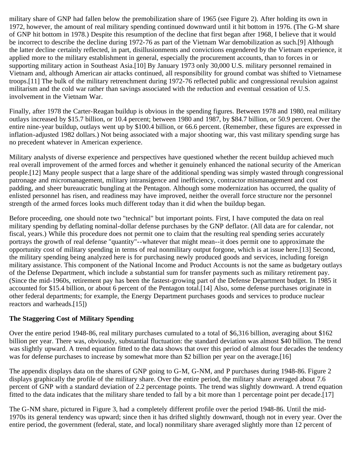military share of GNP had fallen below the premobilization share of 1965 (see Figure 2). After holding its own in 1972, however, the amount of real military spending continued downward until it hit bottom in 1976. (The G-M share of GNP hit bottom in 1978.) Despite this resumption of the decline that first began after 1968, I believe that it would be incorrect to describe the decline during 1972-76 as part of the Vietnam War demobilization as such.[9] Although the latter decline certainly reflected, in part, disillusionments and convictions engendered by the Vietnam experience, it applied more to the military establishment in general, especially the procurement accounts, than to forces in or supporting military action in Southeast Asia.[10] By January 1973 only 30,000 U.S. military personnel remained in Vietnam and, although American air attacks continued, all responsibility for ground combat was shifted to Vietnamese troops.[11] The bulk of the military retrenchment during 1972-76 reflected public and congressional revulsion against militarism and the cold war rather than savings associated with the reduction and eventual cessation of U.S. involvement in the Vietnam War.

Finally, after 1978 the Carter-Reagan buildup is obvious in the spending figures. Between 1978 and 1980, real military outlays increased by \$15.7 billion, or 10.4 percent; between 1980 and 1987, by \$84.7 billion, or 50.9 percent. Over the entire nine-year buildup, outlays went up by \$100.4 billion, or 66.6 percent. (Remember, these figures are expressed in inflation-adjusted 1982 dollars.) Not being associated with a major shooting war, this vast military spending surge has no precedent whatever in American experience.

Military analysts of diverse experience and perspectives have questioned whether the recent buildup achieved much real overall improvement of the armed forces and whether it genuinely enhanced the national security of the American people.[12] Many people suspect that a large share of the additional spending was simply wasted through congressional patronage and micromanagement, military intransigence and inefficiency, contractor mismanagement and cost padding, and sheer bureaucratic bungling at the Pentagon. Although some modernization has occurred, the quality of enlisted personnel has risen, and readiness may have improved, neither the overall force structure nor the personnel strength of the armed forces looks much different today than it did when the buildup began.

Before proceeding, one should note two "technical" but important points. First, I have computed the data on real military spending by deflating nominal-dollar defense purchases by the GNP deflator. (All data are for calendar, not fiscal, years.) While this procedure does not permit one to claim that the resulting real spending series accurately portrays the growth of real defense "quantity"--whatever that might mean--it does permit one to approximate the opportunity cost of military spending in terms of real nonmilitary output forgone, which is at issue here.[13] Second, the military spending being analyzed here is for purchasing newly produced goods and services, including foreign military assistance. This component of the National Income and Product Accounts is not the same as budgetary outlays of the Defense Department, which include a substantial sum for transfer payments such as military retirement pay. (Since the mid-1960s, retirement pay has been the fastest-growing part of the Defense Department budget. In 1985 it accounted for \$15.4 billion, or about 6 percent of the Pentagon total.[14] Also, some defense purchases originate in other federal departments; for example, the Energy Department purchases goods and services to produce nuclear reactors and warheads.[15])

#### **The Staggering Cost of Military Spending**

Over the entire period 1948-86, real military purchases cumulated to a total of \$6,316 billion, averaging about \$162 billion per year. There was, obviously, substantial fluctuation: the standard deviation was almost \$40 billion. The trend was slightly upward. A trend equation fitted to the data shows that over this period of almost four decades the tendency was for defense purchases to increase by somewhat more than \$2 billion per year on the average.[16]

The appendix displays data on the shares of GNP going to G-M, G-NM, and P purchases during 1948-86. Figure 2 displays graphically the profile of the military share. Over the entire period, the military share averaged about 7.6 percent of GNP with a standard deviation of 2.2 percentage points. The trend was slightly downward. A trend equation fitted to the data indicates that the military share tended to fall by a bit more than 1 percentage point per decade.[17]

The G-NM share, pictured in Figure 3, had a completely different profile over the period 1948-86. Until the mid-1970s its general tendency was upward; since then it has drifted slightly downward, though not in every year. Over the entire period, the government (federal, state, and local) nonmilitary share averaged slightly more than 12 percent of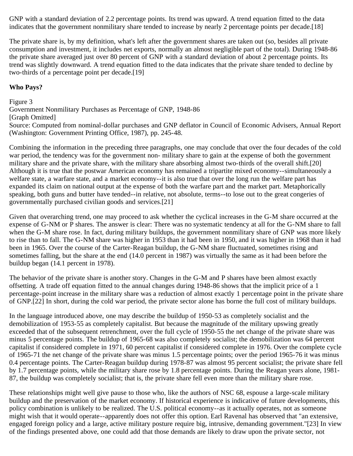GNP with a standard deviation of 2.2 percentage points. Its trend was upward. A trend equation fitted to the data indicates that the government nonmilitary share tended to increase by nearly 2 percentage points per decade.[18]

The private share is, by my definition, what's left after the government shares are taken out (so, besides all private consumption and investment, it includes net exports, normally an almost negligible part of the total). During 1948-86 the private share averaged just over 80 percent of GNP with a standard deviation of about 2 percentage points. Its trend was slightly downward. A trend equation fitted to the data indicates that the private share tended to decline by two-thirds of a percentage point per decade.[19]

## **Who Pays?**

Figure 3

Government Nonmilitary Purchases as Percentage of GNP, 1948-86

[Graph Omitted]

Source: Computed from nominal-dollar purchases and GNP deflator in Council of Economic Advisers, Annual Report (Washington: Government Printing Office, 1987), pp. 245-48.

Combining the information in the preceding three paragraphs, one may conclude that over the four decades of the cold war period, the tendency was for the government non- military share to gain at the expense of both the government military share and the private share, with the military share absorbing almost two-thirds of the overall shift.[20] Although it is true that the postwar American economy has remained a tripartite mixed economy--simultaneously a welfare state, a warfare state, and a market economy--it is also true that over the long run the welfare part has expanded its claim on national output at the expense of both the warfare part and the market part. Metaphorically speaking, both guns and butter have tended--in relative, not absolute, terms--to lose out to the great congeries of governmentally purchased civilian goods and services.[21]

Given that overarching trend, one may proceed to ask whether the cyclical increases in the G-M share occurred at the expense of G-NM or P shares. The answer is clear: There was no systematic tendency at all for the G-NM share to fall when the G-M share rose. In fact, during military buildups, the government nonmilitary share of GNP was more likely to rise than to fall. The G-NM share was higher in 1953 than it had been in 1950, and it was higher in 1968 than it had been in 1965. Over the course of the Carter-Reagan buildup, the G-NM share fluctuated, sometimes rising and sometimes falling, but the share at the end (14.0 percent in 1987) was virtually the same as it had been before the buildup began (14.1 percent in 1978).

The behavior of the private share is another story. Changes in the G-M and P shares have been almost exactly offsetting. A trade off equation fitted to the annual changes during 1948-86 shows that the implicit price of a 1 percentage-point increase in the military share was a reduction of almost exactly 1 percentage point in the private share of GNP.[22] In short, during the cold war period, the private sector alone has borne the full cost of military buildups.

In the language introduced above, one may describe the buildup of 1950-53 as completely socialist and the demobilization of 1953-55 as completely capitalist. But because the magnitude of the military upswing greatly exceeded that of the subsequent retrenchment, over the full cycle of 1950-55 the net change of the private share was minus 5 percentage points. The buildup of 1965-68 was also completely socialist; the demobilization was 64 percent capitalist if considered complete in 1971, 60 percent capitalist if considered complete in 1976. Over the complete cycle of 1965-71 the net change of the private share was minus 1.5 percentage points; over the period 1965-76 it was minus 0.4 percentage points. The Carter-Reagan buildup during 1978-87 was almost 95 percent socialist; the private share fell by 1.7 percentage points, while the military share rose by 1.8 percentage points. During the Reagan years alone, 1981- 87, the buildup was completely socialist; that is, the private share fell even more than the military share rose.

These relationships might well give pause to those who, like the authors of NSC 68, espouse a large-scale military buildup and the preservation of the market economy. If historical experience is indicative of future developments, this policy combination is unlikely to be realized. The U.S. political economy--as it actually operates, not as someone might wish that it would operate--apparently does not offer this option. Earl Ravenal has observed that "an extensive, engaged foreign policy and a large, active military posture require big, intrusive, demanding government."[23] In view of the findings presented above, one could add that those demands are likely to draw upon the private sector, not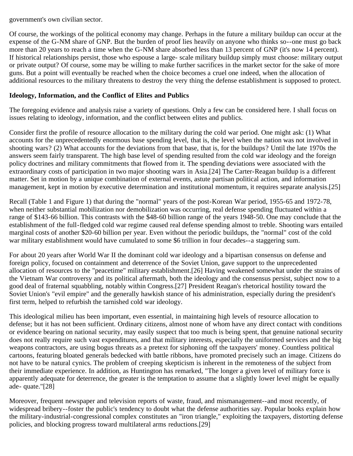government's own civilian sector.

Of course, the workings of the political economy may change. Perhaps in the future a military buildup can occur at the expense of the G-NM share of GNP. But the burden of proof lies heavily on anyone who thinks so--one must go back more than 20 years to reach a time when the G-NM share absorbed less than 13 percent of GNP (it's now 14 percent). If historical relationships persist, those who espouse a large- scale military buildup simply must choose: military output or private output? Of course, some may be willing to make further sacrifices in the market sector for the sake of more guns. But a point will eventually be reached when the choice becomes a cruel one indeed, when the allocation of additional resources to the military threatens to destroy the very thing the defense establishment is supposed to protect.

#### **Ideology, Information, and the Conflict of Elites and Publics**

The foregoing evidence and analysis raise a variety of questions. Only a few can be considered here. I shall focus on issues relating to ideology, information, and the conflict between elites and publics.

Consider first the profile of resource allocation to the military during the cold war period. One might ask: (1) What accounts for the unprecedentedly enormous base spending level, that is, the level when the nation was not involved in shooting wars? (2) What accounts for the deviations from that base, that is, for the buildups? Until the late 1970s the answers seem fairly transparent. The high base level of spending resulted from the cold war ideology and the foreign policy doctrines and military commitments that flowed from it. The spending deviations were associated with the extraordinary costs of participation in two major shooting wars in Asia.[24] The Carter-Reagan buildup is a different matter. Set in motion by a unique combination of external events, astute partisan political action, and information management, kept in motion by executive determination and institutional momentum, it requires separate analysis.[25]

Recall (Table 1 and Figure 1) that during the "normal" years of the post-Korean War period, 1955-65 and 1972-78, when neither substantial mobilization nor demobilization was occurring, real defense spending fluctuated within a range of \$143-66 billion. This contrasts with the \$48-60 billion range of the years 1948-50. One may conclude that the establishment of the full-fledged cold war regime caused real defense spending almost to treble. Shooting wars entailed marginal costs of another \$20-60 billion per year. Even without the periodic buildups, the "normal" cost of the cold war military establishment would have cumulated to some \$6 trillion in four decades--a staggering sum.

For about 20 years after World War II the dominant cold war ideology and a bipartisan consensus on defense and foreign policy, focused on containment and deterrence of the Soviet Union, gave support to the unprecedented allocation of resources to the "peacetime" military establishment.[26] Having weakened somewhat under the strains of the Vietnam War controversy and its political aftermath, both the ideology and the consensus persist, subject now to a good deal of fraternal squabbling, notably within Congress.[27] President Reagan's rhetorical hostility toward the Soviet Union's "evil empire" and the generally hawkish stance of his administration, especially during the president's first term, helped to refurbish the tarnished cold war ideology.

This ideological milieu has been important, even essential, in maintaining high levels of resource allocation to defense; but it has not been sufficient. Ordinary citizens, almost none of whom have any direct contact with conditions or evidence bearing on national security, may easily suspect that too much is being spent, that genuine national security does not really require such vast expenditures, and that military interests, especially the uniformed services and the big weapons contractors, are using bogus threats as a pretext for siphoning off the taxpayers' money. Countless political cartoons, featuring bloated generals bedecked with battle ribbons, have promoted precisely such an image. Citizens do not have to be natural cynics. The problem of creeping skepticism is inherent in the remoteness of the subject from their immediate experience. In addition, as Huntington has remarked, "The longer a given level of military force is apparently adequate for deterrence, the greater is the temptation to assume that a slightly lower level might be equally ade- quate."[28]

Moreover, frequent newspaper and television reports of waste, fraud, and mismanagement--and most recently, of widespread bribery--foster the public's tendency to doubt what the defense authorities say. Popular books explain how the military-industrial-congressional complex constitutes an "iron triangle," exploiting the taxpayers, distorting defense policies, and blocking progress toward multilateral arms reductions.[29]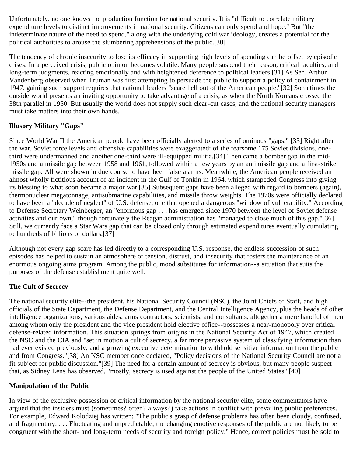Unfortunately, no one knows the production function for national security. It is "difficult to correlate military expenditure levels to distinct improvements in national security. Citizens can only spend and hope." But "the indeterminate nature of the need to spend," along with the underlying cold war ideology, creates a potential for the political authorities to arouse the slumbering apprehensions of the public.[30]

The tendency of chronic insecurity to lose its efficacy in supporting high levels of spending can be offset by episodic crises. In a perceived crisis, public opinion becomes volatile. Many people suspend their reason, critical faculties, and long-term judgments, reacting emotionally and with heightened deference to political leaders.[31] As Sen. Arthur Vandenberg observed when Truman was first attempting to persuade the public to support a policy of containment in 1947, gaining such support requires that national leaders "scare hell out of the American people."[32] Sometimes the outside world presents an inviting opportunity to take advantage of a crisis, as when the North Koreans crossed the 38th parallel in 1950. But usually the world does not supply such clear-cut cases, and the national security managers must take matters into their own hands.

## **Illusory Military "Gaps"**

Since World War II the American people have been officially alerted to a series of ominous "gaps." [33] Right after the war, Soviet force levels and offensive capabilities were exaggerated: of the fearsome 175 Soviet divisions, onethird were undermanned and another one-third were ill-equipped militia.[34] Then came a bomber gap in the mid-1950s and a missile gap between 1958 and 1961, followed within a few years by an antimissile gap and a first-strike missile gap. All were shown in due course to have been false alarms. Meanwhile, the American people received an almost wholly fictitious account of an incident in the Gulf of Tonkin in 1964, which stampeded Congress into giving its blessing to what soon became a major war.[35] Subsequent gaps have been alleged with regard to bombers (again), thermonuclear megatonnage, antisubmarine capabilities, and missile throw weights. The 1970s were officially declared to have been a "decade of neglect" of U.S. defense, one that opened a dangerous "window of vulnerability." According to Defense Secretary Weinberger, an "enormous gap . . . has emerged since 1970 between the level of Soviet defense activities and our own," though fortunately the Reagan administration has "managed to close much of this gap."[36] Still, we currently face a Star Wars gap that can be closed only through estimated expenditures eventually cumulating to hundreds of billions of dollars.[37]

Although not every gap scare has led directly to a corresponding U.S. response, the endless succession of such episodes has helped to sustain an atmosphere of tension, distrust, and insecurity that fosters the maintenance of an enormous ongoing arms program. Among the public, mood substitutes for information--a situation that suits the purposes of the defense establishment quite well.

# **The Cult of Secrecy**

The national security elite--the president, his National Security Council (NSC), the Joint Chiefs of Staff, and high officials of the State Department, the Defense Department, and the Central Intelligence Agency, plus the heads of other intelligence organizations, various aides, arms contractors, scientists, and consultants, altogether a mere handful of men among whom only the president and the vice president hold elective office--possesses a near-monopoly over critical defense-related information. This situation springs from origins in the National Security Act of 1947, which created the NSC and the CIA and "set in motion a cult of secrecy, a far more pervasive system of classifying information than had ever existed previously, and a growing executive determination to withhold sensitive information from the public and from Congress."[38] An NSC member once declared, "Policy decisions of the National Security Council are not a fit subject for public discussion."[39] The need for a certain amount of secrecy is obvious, but many people suspect that, as Sidney Lens has observed, "mostly, secrecy is used against the people of the United States."[40]

#### **Manipulation of the Public**

In view of the exclusive possession of critical information by the national security elite, some commentators have argued that the insiders must (sometimes? often? always?) take actions in conflict with prevailing public preferences. For example, Edward Kolodziej has written: "The public's grasp of defense problems has often been cloudy, confused, and fragmentary. . . . Fluctuating and unpredictable, the changing emotive responses of the public are not likely to be congruent with the short- and long-term needs of security and foreign policy." Hence, correct policies must be sold to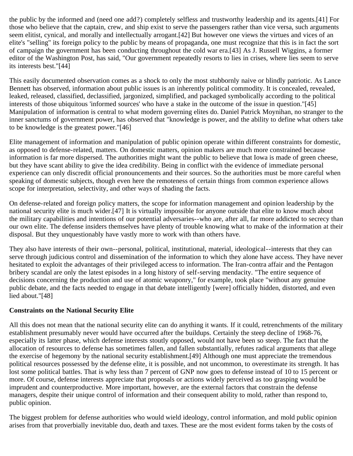the public by the informed and (need one add?) completely selfless and trustworthy leadership and its agents.[41] For those who believe that the captain, crew, and ship exist to serve the passengers rather than vice versa, such arguments seem elitist, cynical, and morally and intellectually arrogant.[42] But however one views the virtues and vices of an elite's "selling" its foreign policy to the public by means of propaganda, one must recognize that this is in fact the sort of campaign the government has been conducting throughout the cold war era.[43] As J. Russell Wiggins, a former editor of the Washington Post, has said, "Our government repeatedly resorts to lies in crises, where lies seem to serve its interests best."[44]

This easily documented observation comes as a shock to only the most stubbornly naive or blindly patriotic. As Lance Bennett has observed, information about public issues is an inherently political commodity. It is concealed, revealed, leaked, released, classified, declassified, jargonized, simplified, and packaged symbolically according to the political interests of those ubiquitous 'informed sources' who have a stake in the outcome of the issue in question."[45] Manipulation of information is central to what modern governing elites do. Daniel Patrick Moynihan, no stranger to the inner sanctums of government power, has observed that "knowledge is power, and the ability to define what others take to be knowledge is the greatest power."[46]

Elite management of information and manipulation of public opinion operate within different constraints for domestic, as opposed to defense-related, matters. On domestic matters, opinion makers are much more constrained because information is far more dispersed. The authorities might want the public to believe that Iowa is made of green cheese, but they have scant ability to give the idea credibility. Being in conflict with the evidence of immediate personal experience can only discredit official pronouncements and their sources. So the authorities must be more careful when speaking of domestic subjects, though even here the remoteness of certain things from common experience allows scope for interpretation, selectivity, and other ways of shading the facts.

On defense-related and foreign policy matters, the scope for information management and opinion leadership by the national security elite is much wider.[47] It is virtually impossible for anyone outside that elite to know much about the military capabilities and intentions of our potential adversaries--who are, after all, far more addicted to secrecy than our own elite. The defense insiders themselves have plenty of trouble knowing what to make of the information at their disposal. But they unquestionably have vastly more to work with than others have.

They also have interests of their own--personal, political, institutional, material, ideological--interests that they can serve through judicious control and dissemination of the information to which they alone have access. They have never hesitated to exploit the advantages of their privileged access to information. The Iran-contra affair and the Pentagon bribery scandal are only the latest episodes in a long history of self-serving mendacity. "The entire sequence of decisions concerning the production and use of atomic weaponry," for example, took place "without any genuine public debate, and the facts needed to engage in that debate intelligently [were] officially hidden, distorted, and even lied about."[48]

#### **Constraints on the National Security Elite**

All this does not mean that the national security elite can do anything it wants. If it could, retrenchments of the military establishment presumably never would have occurred after the buildups. Certainly the steep decline of 1968-76, especially its latter phase, which defense interests stoutly opposed, would not have been so steep. The fact that the allocation of resources to defense has sometimes fallen, and fallen substantially, refutes radical arguments that allege the exercise of hegemony by the national security establishment.[49] Although one must appreciate the tremendous political resources possessed by the defense elite, it is possible, and not uncommon, to overestimate its strength. It has lost some political battles. That is why less than 7 percent of GNP now goes to defense instead of 10 to 15 percent or more. Of course, defense interests appreciate that proposals or actions widely perceived as too grasping would be imprudent and counterproductive. More important, however, are the external factors that constrain the defense managers, despite their unique control of information and their consequent ability to mold, rather than respond to, public opinion.

The biggest problem for defense authorities who would wield ideology, control information, and mold public opinion arises from that proverbially inevitable duo, death and taxes. These are the most evident forms taken by the costs of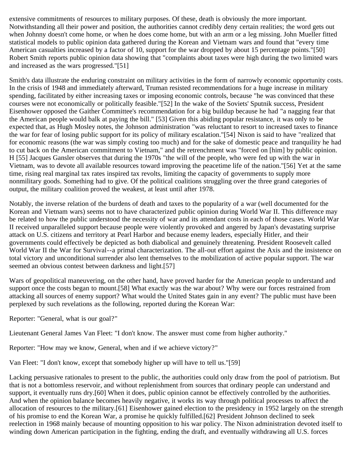extensive commitments of resources to military purposes. Of these, death is obviously the more important. Notwithstanding all their power and position, the authorities cannot credibly deny certain realities; the word gets out when Johnny doesn't come home, or when he does come home, but with an arm or a leg missing. John Mueller fitted statistical models to public opinion data gathered during the Korean and Vietnam wars and found that "every time American casualties increased by a factor of 10, support for the war dropped by about 15 percentage points."[50] Robert Smith reports public opinion data showing that "complaints about taxes were high during the two limited wars and increased as the wars progressed."[51]

Smith's data illustrate the enduring constraint on military activities in the form of narrowly economic opportunity costs. In the crisis of 1948 and immediately afterward, Truman resisted recommendations for a huge increase in military spending, facilitated by either increasing taxes or imposing economic controls, because "he was convinced that these courses were not economically or politically feasible."[52] In the wake of the Soviets' Sputnik success, President Eisenhower opposed the Gaither Committee's recommendation for a big buildup because he had "a nagging fear that the American people would balk at paying the bill." [53] Given this abiding popular resistance, it was only to be expected that, as Hugh Mosley notes, the Johnson administration "was reluctant to resort to increased taxes to finance the war for fear of losing public support for its policy of military escalation."[54] Nixon is said to have "realized that for economic reasons (the war was simply costing too much) and for the sake of domestic peace and tranquility he had to cut back on the American commitment to Vietnam," and the retrenchment was "forced on [him] by public opinion. H [55] Jacques Gansler observes that during the 1970s "the will of the people, who were fed up with the war in Vietnam, was to devote all available resources toward improving the peacetime life of the nation."[56] Yet at the same time, rising real marginal tax rates inspired tax revolts, limiting the capacity of governments to supply more nonmilitary goods. Something had to give. Of the political coalitions struggling over the three grand categories of output, the military coalition proved the weakest, at least until after 1978.

Notably, the inverse relation of the burdens of death and taxes to the popularity of a war (well documented for the Korean and Vietnam wars) seems not to have characterized public opinion during World War II. This difference may be related to how the public understood the necessity of war and its attendant costs in each of those cases. World War II received unparalleled support because people were violently provoked and angered by Japan's devastating surprise attack on U.S. citizens and territory at Pearl Harbor and because enemy leaders, especially Hitler, and their governments could effectively be depicted as both diabolical and genuinely threatening. President Roosevelt called World War II the War for Survival--a primal characterization. The all-out effort against the Axis and the insistence on total victory and unconditional surrender also lent themselves to the mobilization of active popular support. The war seemed an obvious contest between darkness and light.[57]

Wars of geopolitical maneuvering, on the other hand, have proved harder for the American people to understand and support once the costs began to mount.[58] What exactly was the war about? Why were our forces restrained from attacking all sources of enemy support? What would the United States gain in any event? The public must have been perplexed by such revelations as the following, reported during the Korean War:

Reporter: "General, what is our goal?"

Lieutenant General James Van Fleet: "I don't know. The answer must come from higher authority."

Reporter: "How may we know, General, when and if we achieve victory?"

Van Fleet: "I don't know, except that somebody higher up will have to tell us."[59]

Lacking persuasive rationales to present to the public, the authorities could only draw from the pool of patriotism. But that is not a bottomless reservoir, and without replenishment from sources that ordinary people can understand and support, it eventually runs dry.[60] When it does, public opinion cannot be effectively controlled by the authorities. And when the opinion balance becomes heavily negative, it works its way through political processes to affect the allocation of resources to the military.[61] Eisenhower gained election to the presidency in 1952 largely on the strength of his promise to end the Korean War, a promise he quickly fulfilled.[62] President Johnson declined to seek reelection in 1968 mainly because of mounting opposition to his war policy. The Nixon administration devoted itself to winding down American participation in the fighting, ending the draft, and eventually withdrawing all U.S. forces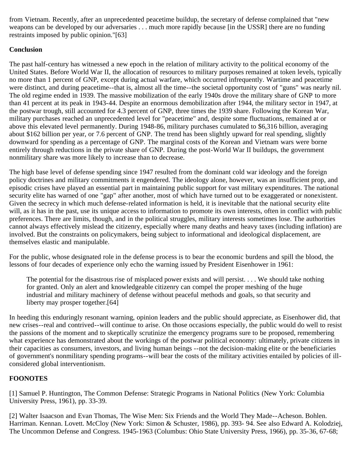from Vietnam. Recently, after an unprecedented peacetime buildup, the secretary of defense complained that "new weapons can be developed by our adversaries . . . much more rapidly because [in the USSR] there are no funding restraints imposed by public opinion."[63]

## **Conclusion**

The past half-century has witnessed a new epoch in the relation of military activity to the political economy of the United States. Before World War II, the allocation of resources to military purposes remained at token levels, typically no more than 1 percent of GNP, except during actual warfare, which occurred infrequently. Wartime and peacetime were distinct, and during peacetime--that is, almost all the time--the societal opportunity cost of "guns" was nearly nil. The old regime ended in 1939. The massive mobilization of the early 1940s drove the military share of GNP to more than 41 percent at its peak in 1943-44. Despite an enormous demobilization after 1944, the military sector in 1947, at the postwar trough, still accounted for 4.3 percent of GNP, three times the 1939 share. Following the Korean War, military purchases reached an unprecedented level for "peacetime" and, despite some fluctuations, remained at or above this elevated level permanently. During 1948-86, military purchases cumulated to \$6,316 billion, averaging about \$162 billion per year, or 7.6 percent of GNP. The trend has been slightly upward for real spending, slightly downward for spending as a percentage of GNP. The marginal costs of the Korean and Vietnam wars were borne entirely through reductions in the private share of GNP. During the post-World War II buildups, the government nonmilitary share was more likely to increase than to decrease.

The high base level of defense spending since 1947 resulted from the dominant cold war ideology and the foreign policy doctrines and military commitments it engendered. The ideology alone, however, was an insufficient prop, and episodic crises have played an essential part in maintaining public support for vast military expenditures. The national security elite has warned of one "gap" after another, most of which have turned out to be exaggerated or nonexistent. Given the secrecy in which much defense-related information is held, it is inevitable that the national security elite will, as it has in the past, use its unique access to information to promote its own interests, often in conflict with public preferences. There are limits, though, and in the political struggles, military interests sometimes lose. The authorities cannot always effectively mislead the citizenry, especially where many deaths and heavy taxes (including inflation) are involved. But the constraints on policymakers, being subject to informational and ideological displacement, are themselves elastic and manipulable.

For the public, whose designated role in the defense process is to bear the economic burdens and spill the blood, the lessons of four decades of experience only echo the warning issued by President Eisenhower in 1961:

The potential for the disastrous rise of misplaced power exists and will persist. . . . We should take nothing for granted. Only an alert and knowledgeable citizenry can compel the proper meshing of the huge industrial and military machinery of defense without peaceful methods and goals, so that security and liberty may prosper together.[64]

In heeding this enduringly resonant warning, opinion leaders and the public should appreciate, as Eisenhower did, that new crises--real and contrived--will continue to arise. On those occasions especially, the public would do well to resist the passions of the moment and to skeptically scrutinize the emergency programs sure to be proposed, remembering what experience has demonstrated about the workings of the postwar political economy: ultimately, private citizens in their capacities as consumers, investors, and living human beings --not the decision-making elite or the beneficiaries of government's nonmilitary spending programs--will bear the costs of the military activities entailed by policies of illconsidered global interventionism.

# **FOONOTES**

[1] Samuel P. Huntington, The Common Defense: Strategic Programs in National Politics (New York: Columbia University Press, 1961), pp. 33-39.

[2] Walter Isaacson and Evan Thomas, The Wise Men: Six Friends and the World They Made--Acheson. Bohlen. Harriman. Kennan. Lovett. McCloy (New York: Simon & Schuster, 1986), pp. 393- 94. See also Edward A. Kolodziej, The Uncommon Defense and Congress. 1945-1963 (Columbus: Ohio State University Press, 1966), pp. 35-36, 67-68;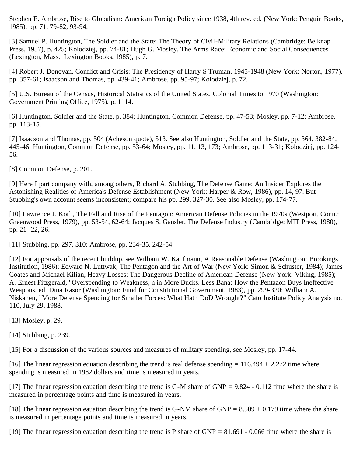Stephen E. Ambrose, Rise to Globalism: American Foreign Policy since 1938, 4th rev. ed. (New York: Penguin Books, 1985), pp. 71, 79-82, 93-94.

[3] Samuel P. Huntington, The Soldier and the State: The Theory of Civil-Military Relations (Cambridge: Belknap Press, 1957), p. 425; Kolodziej, pp. 74-81; Hugh G. Mosley, The Arms Race: Economic and Social Consequences (Lexington, Mass.: Lexington Books, 1985), p. 7.

[4] Robert J. Donovan, Conflict and Crisis: The Presidency of Harry S Truman. 1945-1948 (New York: Norton, 1977), pp. 357-61; Isaacson and Thomas, pp. 439-41; Ambrose, pp. 95-97; Kolodziej, p. 72.

[5] U.S. Bureau of the Census, Historical Statistics of the United States. Colonial Times to 1970 (Washington: Government Printing Office, 1975), p. 1114.

[6] Huntington, Soldier and the State, p. 384; Huntington, Common Defense, pp. 47-53; Mosley, pp. 7-12; Ambrose, pp. 113-15.

[7] Isaacson and Thomas, pp. 504 (Acheson quote), 513. See also Huntington, Soldier and the State, pp. 364, 382-84, 445-46; Huntington, Common Defense, pp. 53-64; Mosley, pp. 11, 13, 173; Ambrose, pp. 113-31; Kolodziej, pp. 124- 56.

[8] Common Defense, p. 201.

[9] Here I part company with, among others, Richard A. Stubbing, The Defense Game: An Insider Explores the Astonishing Realities of America's Defense Establishment (New York: Harper & Row, 1986), pp. 14, 97. But Stubbing's own account seems inconsistent; compare his pp. 299, 327-30. See also Mosley, pp. 174-77.

[10] Lawrence J. Korb, The Fall and Rise of the Pentagon: American Defense Policies in the 1970s (Westport, Conn.: Greenwood Press, 1979), pp. 53-54, 62-64; Jacques S. Gansler, The Defense Industry (Cambridge: MIT Press, 1980), pp. 21- 22, 26.

[11] Stubbing, pp. 297, 310; Ambrose, pp. 234-35, 242-54.

[12] For appraisals of the recent buildup, see William W. Kaufmann, A Reasonable Defense (Washington: Brookings Institution, 1986); Edward N. Luttwak, The Pentagon and the Art of War (New York: Simon & Schuster, 1984); James Coates and Michael Kilian, Heavy Losses: The Dangerous Decline of American Defense (New York: Viking, 1985); A. Ernest Fitzgerald, "Overspending to Weakness, n in More Bucks. Less Bana: How the Pentaaon Buys Ineffective Weapons, ed. Dina Rasor (Washington: Fund for Constitutional Government, 1983), pp. 299-320; William A. Niskanen, "More Defense Spending for Smaller Forces: What Hath DoD Wrought?" Cato Institute Policy Analysis no. 110, July 29, 1988.

[13] Mosley, p. 29.

[14] Stubbing, p. 239.

[15] For a discussion of the various sources and measures of military spending, see Mosley, pp. 17-44.

[16] The linear regression equation describing the trend is real defense spending  $= 116.494 + 2.272$  time where spending is measured in 1982 dollars and time is measured in years.

[17] The linear regression eauation describing the trend is G-M share of GNP = 9.824 - 0.112 time where the share is measured in percentage points and time is measured in years.

[18] The linear regression eauation describing the trend is G-NM share of GNP =  $8.509 + 0.179$  time where the share is measured in percentage points and time is measured in years.

[19] The linear regression eauation describing the trend is P share of GNP =  $81.691 - 0.066$  time where the share is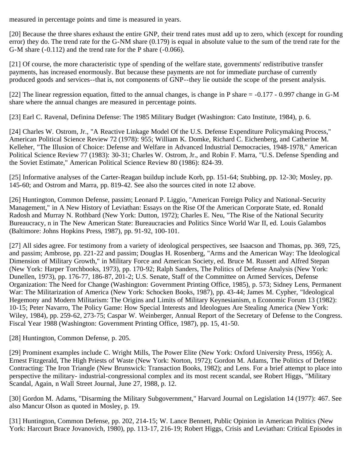measured in percentage points and time is measured in years.

[20] Because the three shares exhaust the entire GNP, their trend rates must add up to zero, which (except for rounding error) they do. The trend rate for the G-NM share (0.179) is equal in absolute value to the sum of the trend rate for the G-M share (-0.112) and the trend rate for the P share (-0.066).

[21] Of course, the more characteristic type of spending of the welfare state, governments' redistributive transfer payments, has increased enormously. But because these payments are not for immediate purchase of currently produced goods and services--that is, not components of GNP--they lie outside the scope of the present analysis.

[22] The linear regression equation, fitted to the annual changes, is change in P share = -0.177 - 0.997 change in G-M share where the annual changes are measured in percentage points.

[23] Earl C. Ravenal, Definina Defense: The 1985 Military Budget (Washington: Cato Institute, 1984), p. 6.

[24] Charles W. Ostrom, Jr., "A Reactive Linkage Model Of the U.S. Defense Expenditure Policymaking Process," American Political Science Review 72 (1978): 955; William K. Domke, Richard C. Eichenberg, and Catherine M. Kelleher, "The Illusion of Choice: Defense and Welfare in Advanced Industrial Democracies, 1948-1978," American Political Science Review 77 (1983): 30-31; Charles W. Ostrom, Jr., and Robin F. Marra, "U.S. Defense Spending and the Soviet Estimate," American Political Science Review 80 (1986): 824-39.

[25] Informative analyses of the Carter-Reagan buildup include Korb, pp. 151-64; Stubbing, pp. 12-30; Mosley, pp. 145-60; and Ostrom and Marra, pp. 819-42. See also the sources cited in note 12 above.

[26] Huntington, Common Defense, passim; Leonard P. Liggio, "American Foreign Policy and National-Security Management," in A New History of Leviathan: Essays on the Rise Of the American Corporate State, ed. Ronald Radosh and Murray N. Rothbard (New York: Dutton, 1972); Charles E. Neu, "The Rise of the National Security Bureaucracy, n in The New American State: Bureaucracies and Politics Since World War II, ed. Louis Galambos (Baltimore: Johns Hopkins Press, 1987), pp. 91-92, 100-101.

[27] All sides agree. For testimony from a variety of ideological perspectives, see Isaacson and Thomas, pp. 369, 725, and passim; Ambrose, pp. 221-22 and passim; Douglas H. Rosenberg, "Arms and the American Way: The Ideological Dimension of Military Growth," in Military Force and American Society, ed. Bruce M. Russett and Alfred Stepan (New York: Harper Torchbooks, 1973), pp. 170-92; Ralph Sanders, The Politics of Defense Analysis (New York: Dunellen, 1973), pp. 176-77, 186-87, 201-2; U.S. Senate, Staff of the Committee on Armed Services, Defense Organization: The Need for Change (Washington: Government Printing Office, 1985), p. 573; Sidney Lens, Permanent War: The Militarization of America (New York: Schocken Books, 1987), pp. 43-44; James M. Cypher, "Ideological Hegemony and Modern Militarism: The Origins and Limits of Military Keynesianism, n Economic Forum 13 (1982): 10-15; Peter Navarro, The Policy Game: How Special Interests and Ideologues Are Stealing America (New York: Wiley, 1984), pp. 259-62, 273-75; Caspar W. Weinberger, Annual Report of the Secretary of Defense to the Congress. Fiscal Year 1988 (Washington: Government Printing Office, 1987), pp. 15, 41-50.

[28] Huntington, Common Defense, p. 205.

[29] Prominent examples include C. Wright Mills, The Power Elite (New York: Oxford University Press, 1956); A. Ernest Fitzgerald, The High Priests of Waste (New York: Norton, 1972); Gordon M. Adams, The Politics of Defense Contracting: The Iron Triangle (New Brunswick: Transaction Books, 1982); and Lens. For a brief attempt to place into perspective the military- industrial-congressional complex and its most recent scandal, see Robert Higgs, "Military Scandal, Again, n Wall Street Journal, June 27, 1988, p. 12.

[30] Gordon M. Adams, "Disarming the Military Subgovernment," Harvard Journal on Legislation 14 (1977): 467. See also Mancur Olson as quoted in Mosley, p. 19.

[31] Huntington, Common Defense, pp. 202, 214-15; W. Lance Bennett, Public Opinion in American Politics (New York: Harcourt Brace Jovanovich, 1980), pp. 113-17, 216-19; Robert Higgs, Crisis and Leviathan: Critical Episodes in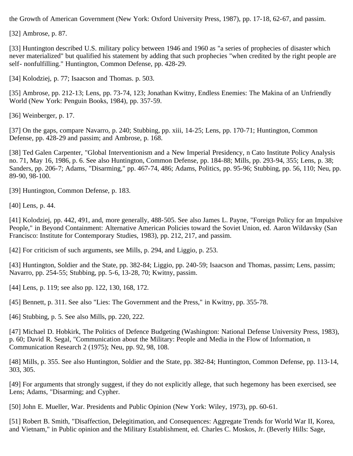the Growth of American Government (New York: Oxford University Press, 1987), pp. 17-18, 62-67, and passim.

[32] Ambrose, p. 87.

[33] Huntington described U.S. military policy between 1946 and 1960 as "a series of prophecies of disaster which never materialized" but qualified his statement by adding that such prophecies "when credited by the right people are self- nonfulfilling." Huntington, Common Defense, pp. 428-29.

[34] Kolodziej, p. 77; Isaacson and Thomas. p. 503.

[35] Ambrose, pp. 212-13; Lens, pp. 73-74, 123; Jonathan Kwitny, Endless Enemies: The Makina of an Unfriendly World (New York: Penguin Books, 1984), pp. 357-59.

[36] Weinberger, p. 17.

[37] On the gaps, compare Navarro, p. 240; Stubbing, pp. xiii, 14-25; Lens, pp. 170-71; Huntington, Common Defense, pp. 428-29 and passim; and Ambrose, p. 168.

[38] Ted Galen Carpenter, "Global Interventionism and a New Imperial Presidency, n Cato Institute Policy Analysis no. 71, May 16, 1986, p. 6. See also Huntington, Common Defense, pp. 184-88; Mills, pp. 293-94, 355; Lens, p. 38; Sanders, pp. 206-7; Adams, "Disarming," pp. 467-74, 486; Adams, Politics, pp. 95-96; Stubbing, pp. 56, 110; Neu, pp. 89-90, 98-100.

[39] Huntington, Common Defense, p. 183.

[40] Lens, p. 44.

[41] Kolodziej, pp. 442, 491, and, more generally, 488-505. See also James L. Payne, "Foreign Policy for an Impulsive People," in Beyond Containment: Alternative American Policies toward the Soviet Union, ed. Aaron Wildavsky (San Francisco: Institute for Contemporary Studies, 1983), pp. 212, 217, and passim.

[42] For criticism of such arguments, see Mills, p. 294, and Liggio, p. 253.

[43] Huntington, Soldier and the State, pp. 382-84; Liggio, pp. 240-59; Isaacson and Thomas, passim; Lens, passim; Navarro, pp. 254-55; Stubbing, pp. 5-6, 13-28, 70; Kwitny, passim.

[44] Lens, p. 119; see also pp. 122, 130, 168, 172.

[45] Bennett, p. 311. See also "Lies: The Government and the Press," in Kwitny, pp. 355-78.

[46] Stubbing, p. 5. See also Mills, pp. 220, 222.

[47] Michael D. Hobkirk, The Politics of Defence Budgeting (Washington: National Defense University Press, 1983), p. 60; David R. Segal, "Communication about the Military: People and Media in the Flow of Information, n Communication Research 2 (1975); Neu, pp. 92, 98, 108.

[48] Mills, p. 355. See also Huntington, Soldier and the State, pp. 382-84; Huntington, Common Defense, pp. 113-14, 303, 305.

[49] For arguments that strongly suggest, if they do not explicitly allege, that such hegemony has been exercised, see Lens; Adams, "Disarming; and Cypher.

[50] John E. Mueller, War. Presidents and Public Opinion (New York: Wiley, 1973), pp. 60-61.

[51] Robert B. Smith, "Disaffection, Delegitimation, and Consequences: Aggregate Trends for World War II, Korea, and Vietnam," in Public opinion and the Military Establishment, ed. Charles C. Moskos, Jr. (Beverly Hills: Sage,